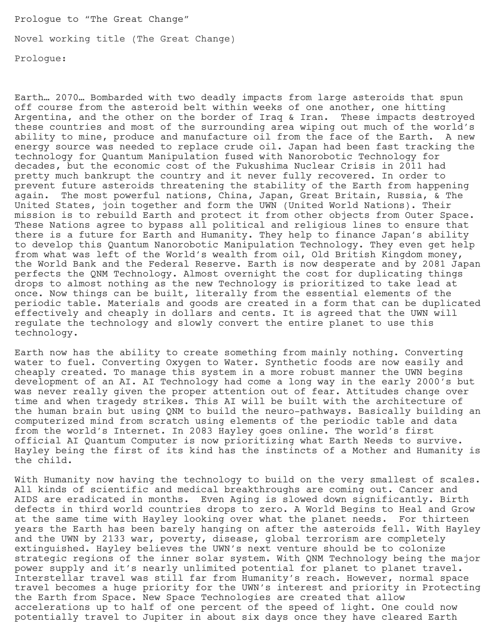Prologue to "The Great Change"

Novel working title (The Great Change)

Prologue:

Earth… 2070… Bombarded with two deadly impacts from large asteroids that spun off course from the asteroid belt within weeks of one another, one hitting Argentina, and the other on the border of Iraq & Iran. These impacts destroyed these countries and most of the surrounding area wiping out much of the world's ability to mine, produce and manufacture oil from the face of the Earth. A new energy source was needed to replace crude oil. Japan had been fast tracking the technology for Quantum Manipulation fused with Nanorobotic Technology for decades, but the economic cost of the Fukushima Nuclear Crisis in 2011 had pretty much bankrupt the country and it never fully recovered. In order to prevent future asteroids threatening the stability of the Earth from happening again. The most powerful nations, China, Japan, Great Britain, Russia, & The United States, join together and form the UWN (United World Nations). Their mission is to rebuild Earth and protect it from other objects from Outer Space. These Nations agree to bypass all political and religious lines to ensure that there is a future for Earth and Humanity. They help to finance Japan's ability to develop this Quantum Nanorobotic Manipulation Technology. They even get help from what was left of the World's wealth from oil, Old British Kingdom money, the World Bank and the Federal Reserve. Earth is now desperate and by 2081 Japan perfects the QNM Technology. Almost overnight the cost for duplicating things drops to almost nothing as the new Technology is prioritized to take lead at once. Now things can be built, literally from the essential elements of the periodic table. Materials and goods are created in a form that can be duplicated effectively and cheaply in dollars and cents. It is agreed that the UWN will regulate the technology and slowly convert the entire planet to use this technology.

Earth now has the ability to create something from mainly nothing. Converting water to fuel. Converting Oxygen to Water. Synthetic foods are now easily and cheaply created. To manage this system in a more robust manner the UWN begins development of an AI. AI Technology had come a long way in the early 2000's but was never really given the proper attention out of fear. Attitudes change over time and when tragedy strikes. This AI will be built with the architecture of the human brain but using QNM to build the neuro-pathways. Basically building an computerized mind from scratch using elements of the periodic table and data from the world's Internet. In 2083 Hayley goes online. The world's first official AI Quantum Computer is now prioritizing what Earth Needs to survive. Hayley being the first of its kind has the instincts of a Mother and Humanity is the child.

With Humanity now having the technology to build on the very smallest of scales. All kinds of scientific and medical breakthroughs are coming out. Cancer and AIDS are eradicated in months. Even Aging is slowed down significantly. Birth defects in third world countries drops to zero. A World Begins to Heal and Grow at the same time with Hayley looking over what the planet needs. For thirteen years the Earth has been barely hanging on after the asteroids fell. With Hayley and the UWN by 2133 war, poverty, disease, global terrorism are completely extinguished. Hayley believes the UWN's next venture should be to colonize strategic regions of the inner solar system. With QNM Technology being the major power supply and it's nearly unlimited potential for planet to planet travel. Interstellar travel was still far from Humanity's reach. However, normal space travel becomes a huge priority for the UWN's interest and priority in Protecting the Earth from Space. New Space Technologies are created that allow accelerations up to half of one percent of the speed of light. One could now potentially travel to Jupiter in about six days once they have cleared Earth